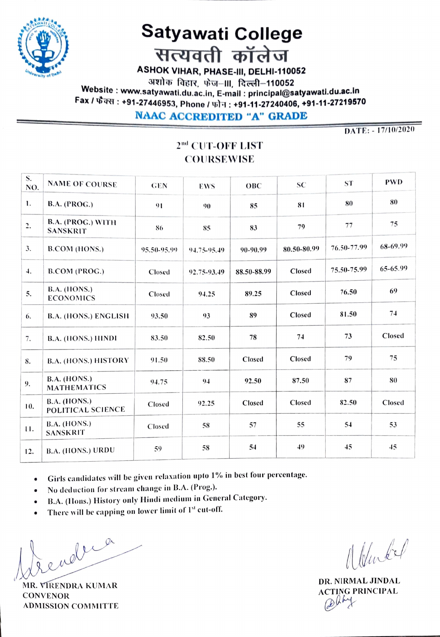

# Satyawati College<br>सत्यवती कॉलेज

ASHOK VIHAR, PHASE-II, DELHI-110052

अशोक विहार, फेज-III, दिल्ली-110052<br>Website : www.satyawati.du.ac.in, E-mail : principal@satyawati.du.ac.in Pax / फैक्स : +91-27446953, Phone / फोन : +91-11-27240406, +91-11-27219570

### NAAC ACCREDITED "A" GRADE

DATE: - 17/10/2020

| S.<br>NO.      | <b>NAME OF COURSE</b>                     | <b>GEN</b>  | <b>EWS</b>  | <b>OBC</b>  | SC          | ST          | <b>PWD</b> |
|----------------|-------------------------------------------|-------------|-------------|-------------|-------------|-------------|------------|
| 1.             | B.A. (PROG.)                              | 91          | 90          | 85          | 81          | 80          | 80         |
| $\overline{2}$ | B.A. (PROG.) WITH<br><b>SANSKRIT</b>      | 86          | 85          | 83          | 79          | 77          | 75         |
| 3.             | <b>B.COM</b> (HONS.)                      | 95.50-95.99 | 94.75-95.49 | 90-90.99    | 80.50-80.99 | 76.50-77.99 | 68-69.99   |
| $\mathbf{4}$ . | B.COM (PROG.)                             | Closed      | 92.75-93.49 | 88.50-88.99 | Closed      | 75.50-75.99 | 65-65.99   |
| 5.             | <b>B.A.</b> (HONS.)<br><b>ECONOMICS</b>   | Closed      | 94.25       | 89.25       | Closed      | 76.50       | 69         |
| 6.             | <b>B.A. (HONS.) ENGLISH</b>               | 93.50       | 93          | 89          | Closed      | 81.50       | 74         |
| 7.             | B.A. (HONS.) HINDI                        | 83.50       | 82.50       | 78          | 74          | 73          | Closed     |
| 8.             | B.A. (HONS.) HISTORY                      | 91.50       | 88.50       | Closed      | Closed      | 79          | 75         |
| 9.             | <b>B.A.</b> (HONS.)<br><b>MATHEMATICS</b> | 94.75       | 94          | 92.50       | 87.50       | 87          | 80         |
| 10.            | B.A. (HONS.)<br>POLITICAL SCIENCE         | Closed      | 92.25       | Closed      | Closed      | 82.50       | Closed     |
| 11.            | B.A. (HONS.)<br><b>SANSKRIT</b>           | Closed      | 58          | 57          | 55          | 54          | 53         |
| 12.            | <b>B.A. (HONS.) URDU</b>                  | 59          | 58          | 54          | 49          | 45          | 45         |

### 2<sup>nd</sup> CUT-OFF LIST COURSEWISE

Girls candidates will be given relaxation upto 1% in best four percentage.

- No deduction for stream change in B.A. (Prog.).
- B.A. (lons.) History only Hindi medium in General Category.
- There will be capping on lower limit of  $I<sup>st</sup>$  cut-off.

A  $\int_{\Omega}$ enel

ACTING PRINCIPAL CONVENOR<br>CONVENOR COMMUTE ADMISSION COMMITTE

Nouvel

**DR. NIRMAL JINDAL MR. YIRENDRA KUMAR**